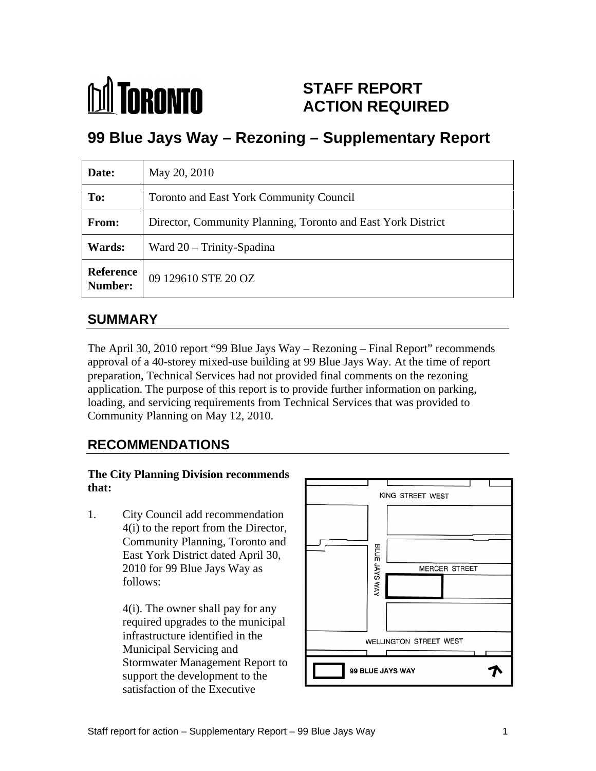

## **STAFF REPORT ACTION REQUIRED**

# **99 Blue Jays Way – Rezoning – Supplementary Report**

| Date:  | May 20, 2010                                                 |
|--------|--------------------------------------------------------------|
| To:    | Toronto and East York Community Council                      |
| From:  | Director, Community Planning, Toronto and East York District |
| Wards: | Ward 20 - Trinity-Spadina                                    |
|        | <b>Reference</b> 09 129610 STE 20 OZ<br><b>Number:</b>       |

#### **SUMMARY**

The April 30, 2010 report "99 Blue Jays Way – Rezoning – Final Report" recommends approval of a 40-storey mixed-use building at 99 Blue Jays Way. At the time of report preparation, Technical Services had not provided final comments on the rezoning application. The purpose of this report is to provide further information on parking, loading, and servicing requirements from Technical Services that was provided to Community Planning on May 12, 2010.

## **RECOMMENDATIONS**

# **The City Planning Division recommends**

1. City Council add recommendation 4(i) to the report from the Director, Community Planning, Toronto and<br>East York District dated April 30,<br>2010 for 99 Blue Jays Way as<br>follows: East York District dated April 30,

> 4(i). The owner shall pay for any required upgrades to the municipal Municipal Servicing and support the development to the satisfaction of the Executive

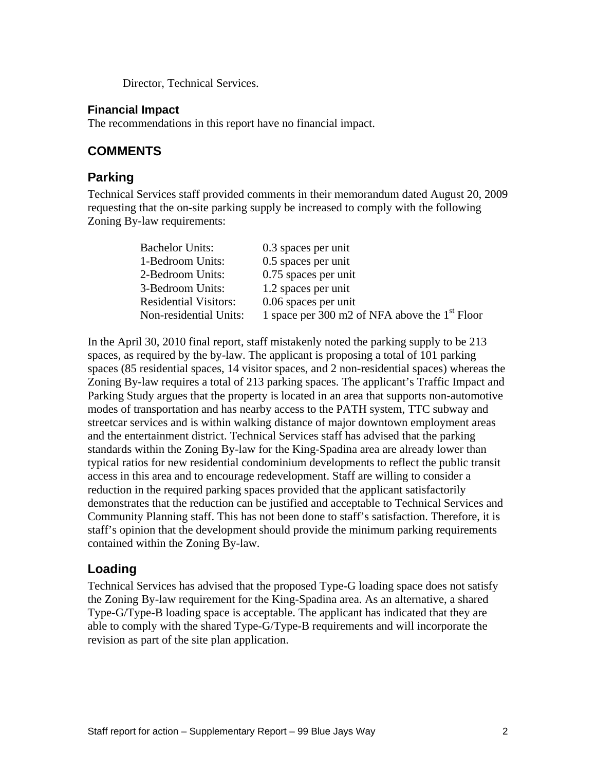Director, Technical Services.

#### **Financial Impact**

The recommendations in this report have no financial impact.

#### **COMMENTS**

#### **Parking**

Technical Services staff provided comments in their memorandum dated August 20, 2009 requesting that the on-site parking supply be increased to comply with the following Zoning By-law requirements:

| <b>Bachelor Units:</b>       | 0.3 spaces per unit                             |  |
|------------------------------|-------------------------------------------------|--|
| 1-Bedroom Units:             | 0.5 spaces per unit                             |  |
| 2-Bedroom Units:             | 0.75 spaces per unit                            |  |
| 3-Bedroom Units:             | 1.2 spaces per unit                             |  |
| <b>Residential Visitors:</b> | 0.06 spaces per unit                            |  |
| Non-residential Units:       | 1 space per 300 m2 of NFA above the $1st$ Floor |  |

In the April 30, 2010 final report, staff mistakenly noted the parking supply to be 213 spaces, as required by the by-law. The applicant is proposing a total of 101 parking spaces (85 residential spaces, 14 visitor spaces, and 2 non-residential spaces) whereas the Zoning By-law requires a total of 213 parking spaces. The applicant's Traffic Impact and Parking Study argues that the property is located in an area that supports non-automotive modes of transportation and has nearby access to the PATH system, TTC subway and streetcar services and is within walking distance of major downtown employment areas and the entertainment district. Technical Services staff has advised that the parking standards within the Zoning By-law for the King-Spadina area are already lower than typical ratios for new residential condominium developments to reflect the public transit access in this area and to encourage redevelopment. Staff are willing to consider a reduction in the required parking spaces provided that the applicant satisfactorily demonstrates that the reduction can be justified and acceptable to Technical Services and Community Planning staff. This has not been done to staff's satisfaction. Therefore, it is staff's opinion that the development should provide the minimum parking requirements contained within the Zoning By-law.

#### **Loading**

Technical Services has advised that the proposed Type-G loading space does not satisfy the Zoning By-law requirement for the King-Spadina area. As an alternative, a shared Type-G/Type-B loading space is acceptable. The applicant has indicated that they are able to comply with the shared Type-G/Type-B requirements and will incorporate the revision as part of the site plan application.